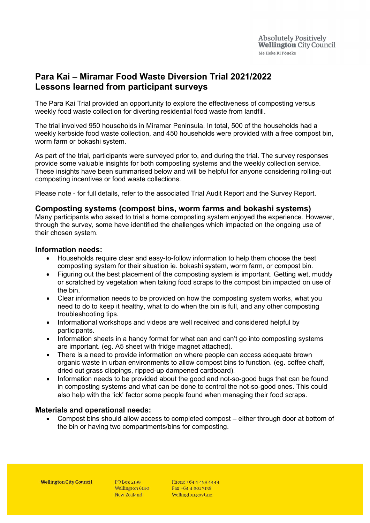# **Para Kai – Miramar Food Waste Diversion Trial 2021/2022 Lessons learned from participant surveys**

The Para Kai Trial provided an opportunity to explore the effectiveness of composting versus weekly food waste collection for diverting residential food waste from landfill.

The trial involved 950 households in Miramar Peninsula. In total, 500 of the households had a weekly kerbside food waste collection, and 450 households were provided with a free compost bin, worm farm or bokashi system.

As part of the trial, participants were surveyed prior to, and during the trial. The survey responses provide some valuable insights for both composting systems and the weekly collection service. These insights have been summarised below and will be helpful for anyone considering rolling-out composting incentives or food waste collections.

Please note - for full details, refer to the associated Trial Audit Report and the Survey Report.

## **Composting systems (compost bins, worm farms and bokashi systems)**

Many participants who asked to trial a home composting system enjoyed the experience. However, through the survey, some have identified the challenges which impacted on the ongoing use of their chosen system.

#### **Information needs:**

- Households require clear and easy-to-follow information to help them choose the best composting system for their situation ie. bokashi system, worm farm, or compost bin.
- Figuring out the best placement of the composting system is important. Getting wet, muddy or scratched by vegetation when taking food scraps to the compost bin impacted on use of the bin.
- Clear information needs to be provided on how the composting system works, what you need to do to keep it healthy, what to do when the bin is full, and any other composting troubleshooting tips.
- Informational workshops and videos are well received and considered helpful by participants.
- Information sheets in a handy format for what can and can't go into composting systems are important. (eg. A5 sheet with fridge magnet attached).
- There is a need to provide information on where people can access adequate brown organic waste in urban environments to allow compost bins to function. (eg. coffee chaff, dried out grass clippings, ripped-up dampened cardboard).
- Information needs to be provided about the good and not-so-good bugs that can be found in composting systems and what can be done to control the not-so-good ones. This could also help with the 'ick' factor some people found when managing their food scraps.

#### **Materials and operational needs:**

• Compost bins should allow access to completed compost – either through door at bottom of the bin or having two compartments/bins for composting.

**PO Box 2199** Wellington 6140 New Zealand

Phone +64 4 499 4444 Fax +64 4 801 3138 Wellington.govt.nz